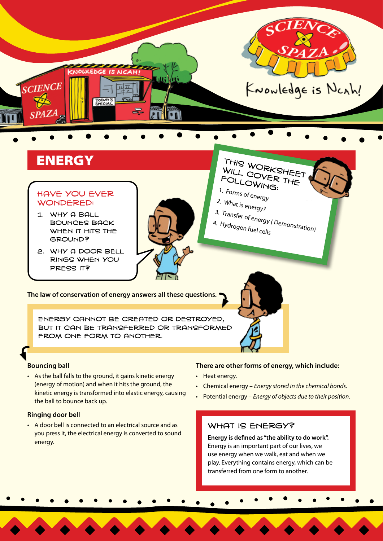

#### Have you ever wondered:

- 1. Why a ball bounces back WHEN IT HITS THE ground?
- 2. Why a door bell rings when you press it?

FOLLOWING: 1. Forms of energy 2. What is energy? 3. Transfer of energy ( Demonstration) 4. Hydrogen fuel cells

**The law of conservation of energy answers all these questions.**

Energy cannot be created or destroyed, but it can be transferred or transformed FROM ONE FORM TO ANOTHER.

### **Bouncing ball**

• As the ball falls to the ground, it gains kinetic energy (energy of motion) and when it hits the ground, the kinetic energy is transformed into elastic energy, causing the ball to bounce back up.

#### **Ringing door bell**

• A door bell is connected to an electrical source and as you press it, the electrical energy is converted to sound energy.

#### **There are other forms of energy, which include:**

- Heat energy.
- Chemical energy *Energy stored in the chemical bonds.*
- Potential energy *Energy of objects due to their position.*

## WHAT IS ENERGY?

**Energy is defined as "the ability to do work".**  Energy is an important part of our lives, we use energy when we walk, eat and when we play. Everything contains energy, which can be transferred from one form to another.